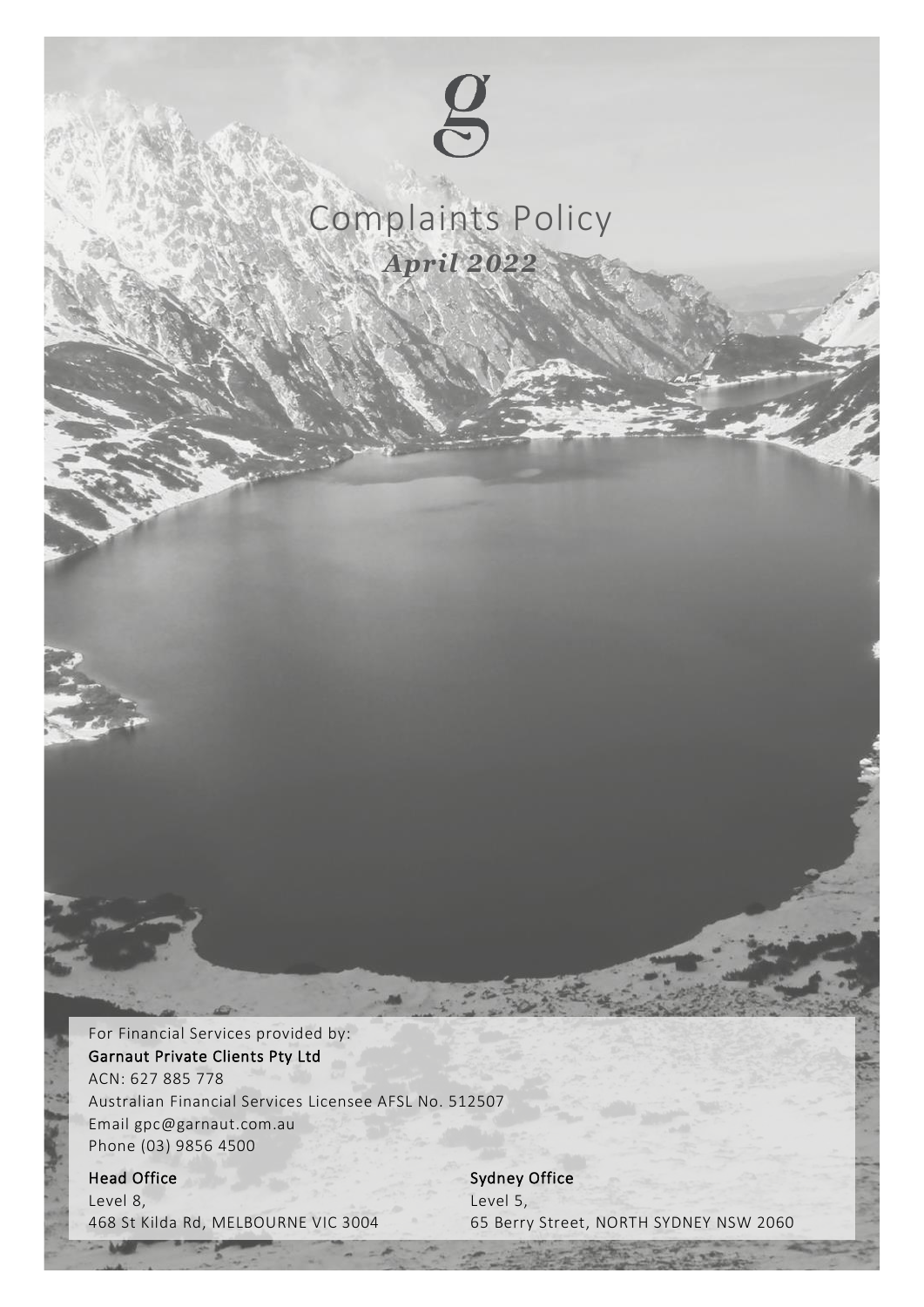

# Complaints Policy *April 2022*

For Financial Services provided by: Garnaut Private Clients Pty Ltd ACN: 627 885 778 Australian Financial Services Licensee AFSL No. 512507 Email gpc@garnaut.com.au Phone (03) 9856 4500

## Head Office

Level 8, 468 St Kilda Rd, MELBOURNE VIC 3004

Complaints Policy Garnaut Private Clients Pty Ltd | AFSL 512507 | April 2022 1 Sydney Office Level 5, 65 Berry Street, NORTH SYDNEY NSW 2060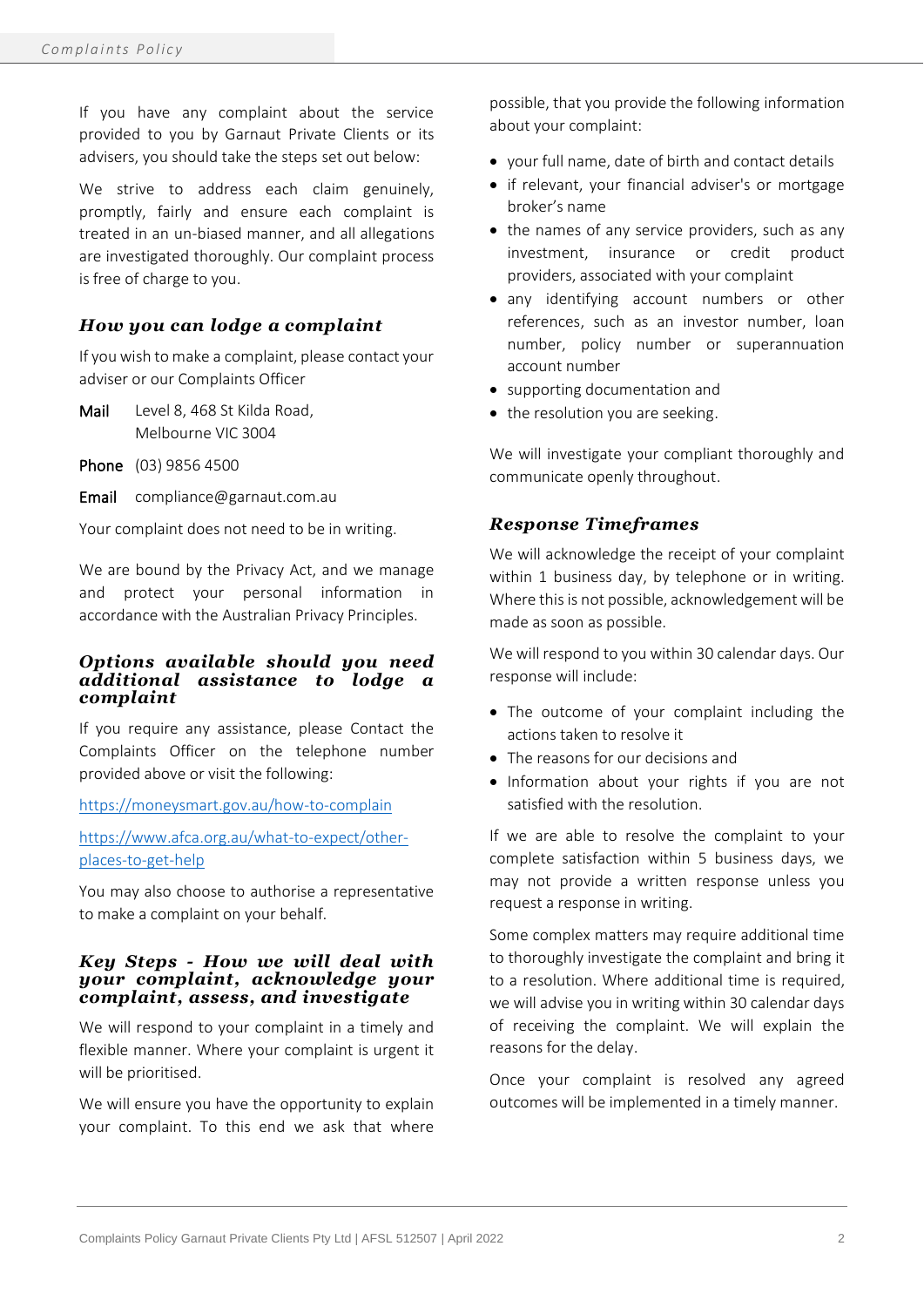If you have any complaint about the service provided to you by Garnaut Private Clients or its advisers, you should take the steps set out below:

We strive to address each claim genuinely, promptly, fairly and ensure each complaint is treated in an un-biased manner, and all allegations are investigated thoroughly. Our complaint process is free of charge to you.

## *How you can lodge a complaint*

If you wish to make a complaint, please contact your adviser or our Complaints Officer

- Mail Level 8, 468 St Kilda Road, Melbourne VIC 3004
- Phone (03) 9856 4500
- Email compliance@garnaut.com.au

Your complaint does not need to be in writing.

We are bound by the Privacy Act, and we manage and protect your personal information in accordance with the Australian Privacy Principles.

#### *Options available should you need additional assistance to lodge a complaint*

If you require any assistance, please Contact the Complaints Officer on the telephone number provided above or visit the following:

#### <https://moneysmart.gov.au/how-to-complain>

[https://www.afca.org.au/what-to-expect/other](https://www.afca.org.au/what-to-expect/other-places-to-get-help)[places-to-get-help](https://www.afca.org.au/what-to-expect/other-places-to-get-help)

You may also choose to authorise a representative to make a complaint on your behalf.

### *Key Steps - How we will deal with your complaint, acknowledge your complaint, assess, and investigate*

We will respond to your complaint in a timely and flexible manner. Where your complaint is urgent it will be prioritised.

We will ensure you have the opportunity to explain your complaint. To this end we ask that where

possible, that you provide the following information about your complaint:

- your full name, date of birth and contact details
- if relevant, your financial adviser's or mortgage broker's name
- the names of any service providers, such as any investment, insurance or credit product providers, associated with your complaint
- any identifying account numbers or other references, such as an investor number, loan number, policy number or superannuation account number
- supporting documentation and
- the resolution you are seeking.

We will investigate your compliant thoroughly and communicate openly throughout.

## *Response Timeframes*

We will acknowledge the receipt of your complaint within 1 business day, by telephone or in writing. Where this is not possible, acknowledgement will be made as soon as possible.

We will respond to you within 30 calendar days. Our response will include:

- The outcome of your complaint including the actions taken to resolve it
- The reasons for our decisions and
- Information about your rights if you are not satisfied with the resolution.

If we are able to resolve the complaint to your complete satisfaction within 5 business days, we may not provide a written response unless you request a response in writing.

Some complex matters may require additional time to thoroughly investigate the complaint and bring it to a resolution. Where additional time is required, we will advise you in writing within 30 calendar days of receiving the complaint. We will explain the reasons for the delay.

Once your complaint is resolved any agreed outcomes will be implemented in a timely manner.